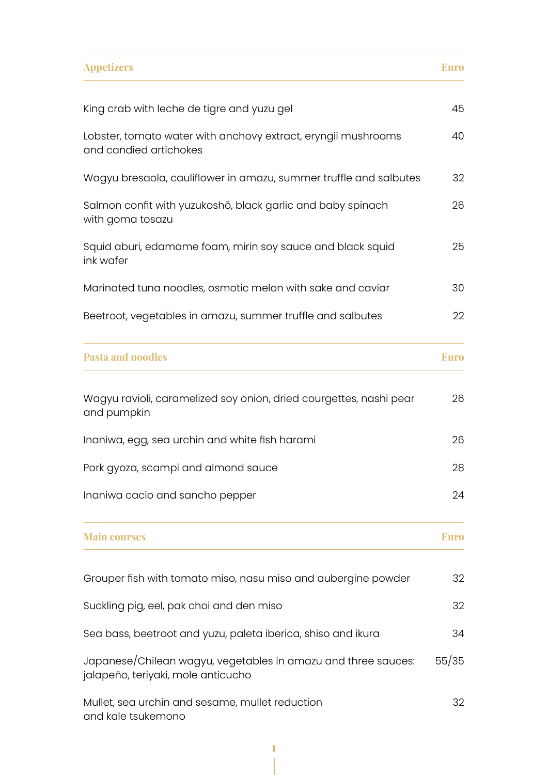| <b>Appetizers</b>                                                                                   | <b>Euro</b> |
|-----------------------------------------------------------------------------------------------------|-------------|
| King crab with leche de tigre and yuzu gel                                                          | 45          |
| Lobster, tomato water with anchovy extract, eryngii mushrooms<br>and candied artichokes             |             |
| Wagyu bresaola, cauliflower in amazu, summer truffle and salbutes                                   | 32          |
| Salmon confit with yuzukoshō, black garlic and baby spinach<br>with goma tosazu                     |             |
| Squid aburi, edamame foam, mirin soy sauce and black squid<br>ink wafer                             | 25          |
| Marinated tuna noodles, osmotic melon with sake and caviar                                          | 30          |
| Beetroot, vegetables in amazu, summer truffle and salbutes                                          | 22          |
| <b>Pasta and noodles</b>                                                                            | <b>Euro</b> |
| Wagyu ravioli, caramelized soy onion, dried courgettes, nashi pear<br>and pumpkin                   | 26          |
| Inaniwa, egg, sea urchin and white fish harami                                                      | 26          |
| Pork gyoza, scampi and almond sauce                                                                 | 28          |
| Inaniwa cacio and sancho pepper                                                                     | 24          |
| <b>Main courses</b>                                                                                 | <b>Euro</b> |
| Grouper fish with tomato miso, nasu miso and aubergine powder                                       | 32          |
| Suckling pig, eel, pak choi and den miso                                                            | 32          |
| Sea bass, beetroot and yuzu, paleta iberica, shiso and ikura                                        | 34          |
| Japanese/Chilean wagyu, vegetables in amazu and three sauces:<br>jalapeño, teriyaki, mole anticucho |             |
| Mullet, sea urchin and sesame, mullet reduction<br>and kale tsukemono                               | 32          |

1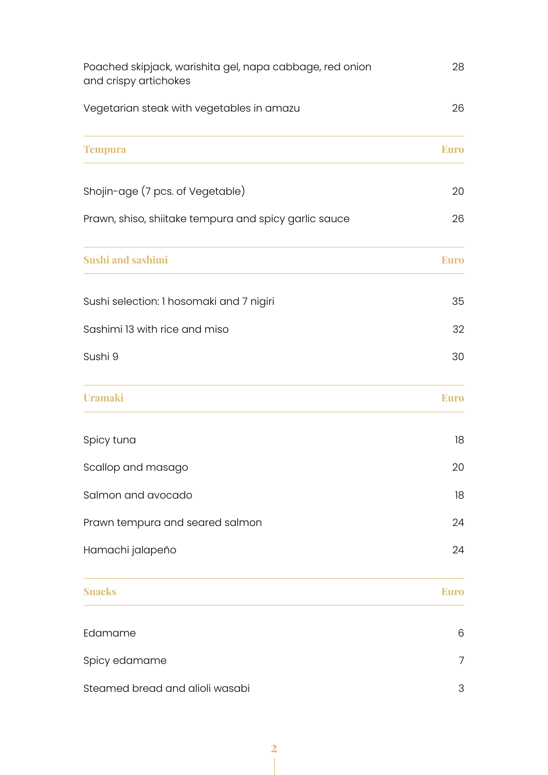| Poached skipjack, warishita gel, napa cabbage, red onion<br>and crispy artichokes | 28          |
|-----------------------------------------------------------------------------------|-------------|
| Vegetarian steak with vegetables in amazu                                         | 26          |
| <b>Tempura</b>                                                                    | <b>Euro</b> |
| Shojin-age (7 pcs. of Vegetable)                                                  | 20          |
| Prawn, shiso, shiitake tempura and spicy garlic sauce                             | 26          |
| <b>Sushi and sashimi</b>                                                          | <b>Euro</b> |
| Sushi selection: 1 hosomaki and 7 nigiri                                          | 35          |
| Sashimi 13 with rice and miso                                                     | 32          |
| Sushi 9                                                                           | 30          |
| <b>Uramaki</b>                                                                    | <b>Euro</b> |
| Spicy tuna                                                                        | 18          |
| Scallop and masago                                                                | 20          |
| Salmon and avocado                                                                | 18          |
| Prawn tempura and seared salmon                                                   | 24          |
| Hamachi jalapeño                                                                  | 24          |
| <b>Snacks</b>                                                                     | <b>Euro</b> |
| Edamame                                                                           | 6           |
| Spicy edamame                                                                     | 7           |
| Steamed bread and alioli wasabi                                                   | 3           |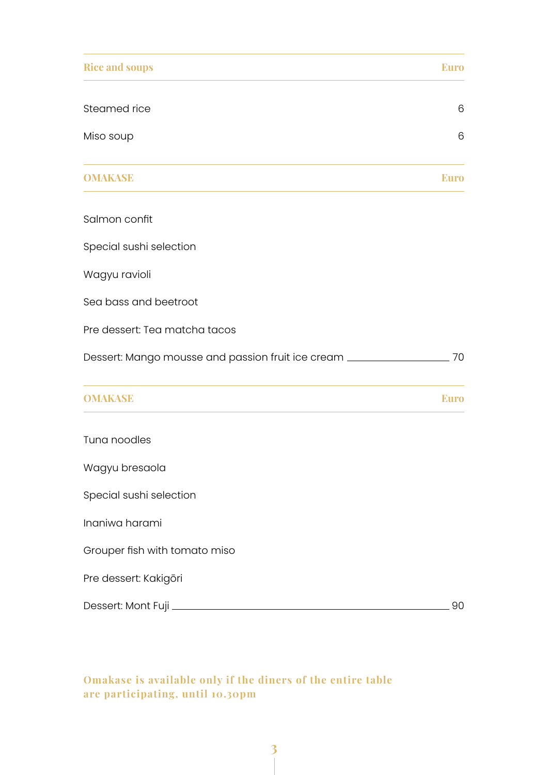| <b>Rice and soups</b>                                                            | <b>Euro</b> |
|----------------------------------------------------------------------------------|-------------|
| Steamed rice                                                                     | 6           |
| Miso soup                                                                        | 6           |
| <b>OMAKASE</b>                                                                   | <b>Euro</b> |
| Salmon confit                                                                    |             |
| Special sushi selection                                                          |             |
| Wagyu ravioli                                                                    |             |
| Sea bass and beetroot                                                            |             |
| Pre dessert: Tea matcha tacos                                                    |             |
| Dessert: Mango mousse and passion fruit ice cream ______________________________ | 70          |
| <b>OMAKASE</b>                                                                   | <b>Euro</b> |
| Tuna noodles                                                                     |             |
| Wagyu bresaola                                                                   |             |
| Special sushi selection                                                          |             |
| Inaniwa harami                                                                   |             |
| Grouper fish with tomato miso                                                    |             |
| Pre dessert: Kakigōri                                                            |             |
|                                                                                  | 90          |

Omakase is available only if the diners of the entire table are participating, until 10.30pm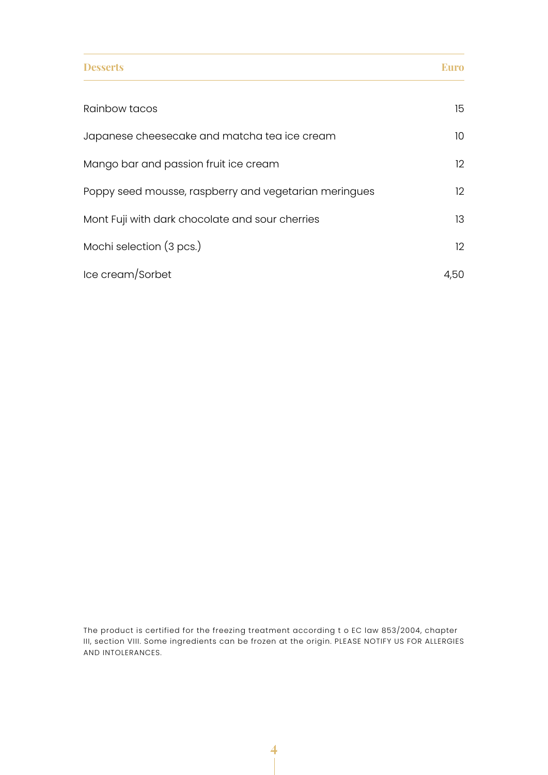| <b>Desserts</b>                                       | Euro              |
|-------------------------------------------------------|-------------------|
| Rainbow tacos                                         | 15                |
| Japanese cheesecake and matcha tea ice cream          | 10 <sup>°</sup>   |
| Mango bar and passion fruit ice cream                 | $12 \overline{ }$ |
| Poppy seed mousse, raspberry and vegetarian meringues | 12                |
| Mont Fuji with dark chocolate and sour cherries       | 13                |
| Mochi selection (3 pcs.)                              | $12 \overline{ }$ |
| Ice cream/Sorbet                                      | 4,50              |

The product is certified for the freezing treatment according t o EC law 853/2004, chapter III, section VIII. Some ingredients can be frozen at the origin. PLEASE NOTIFY US FOR ALLERGIES AND INTOLERANCES.